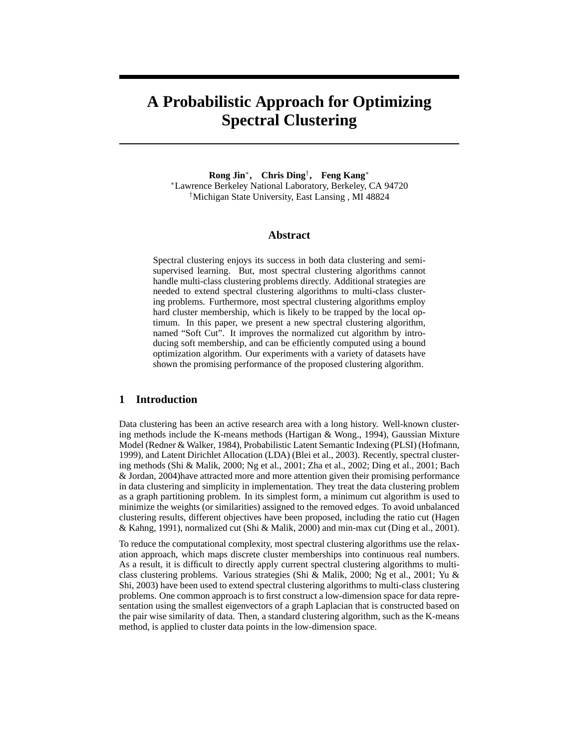# **A Probabilistic Approach for Optimizing Spectral Clustering**

**Rong Jin**<sup>∗</sup> **, Chris Ding**† **, Feng Kang**<sup>∗</sup> <sup>∗</sup>Lawrence Berkeley National Laboratory, Berkeley, CA 94720 †Michigan State University, East Lansing , MI 48824

### **Abstract**

Spectral clustering enjoys its success in both data clustering and semisupervised learning. But, most spectral clustering algorithms cannot handle multi-class clustering problems directly. Additional strategies are needed to extend spectral clustering algorithms to multi-class clustering problems. Furthermore, most spectral clustering algorithms employ hard cluster membership, which is likely to be trapped by the local optimum. In this paper, we present a new spectral clustering algorithm, named "Soft Cut". It improves the normalized cut algorithm by introducing soft membership, and can be efficiently computed using a bound optimization algorithm. Our experiments with a variety of datasets have shown the promising performance of the proposed clustering algorithm.

# **1 Introduction**

Data clustering has been an active research area with a long history. Well-known clustering methods include the K-means methods (Hartigan & Wong., 1994), Gaussian Mixture Model (Redner & Walker, 1984), Probabilistic Latent Semantic Indexing (PLSI) (Hofmann, 1999), and Latent Dirichlet Allocation (LDA) (Blei et al., 2003). Recently, spectral clustering methods (Shi & Malik, 2000; Ng et al., 2001; Zha et al., 2002; Ding et al., 2001; Bach & Jordan, 2004)have attracted more and more attention given their promising performance in data clustering and simplicity in implementation. They treat the data clustering problem as a graph partitioning problem. In its simplest form, a minimum cut algorithm is used to minimize the weights (or similarities) assigned to the removed edges. To avoid unbalanced clustering results, different objectives have been proposed, including the ratio cut (Hagen & Kahng, 1991), normalized cut (Shi & Malik, 2000) and min-max cut (Ding et al., 2001).

To reduce the computational complexity, most spectral clustering algorithms use the relaxation approach, which maps discrete cluster memberships into continuous real numbers. As a result, it is difficult to directly apply current spectral clustering algorithms to multiclass clustering problems. Various strategies (Shi & Malik, 2000; Ng et al., 2001; Yu & Shi, 2003) have been used to extend spectral clustering algorithms to multi-class clustering problems. One common approach is to first construct a low-dimension space for data representation using the smallest eigenvectors of a graph Laplacian that is constructed based on the pair wise similarity of data. Then, a standard clustering algorithm, such as the K-means method, is applied to cluster data points in the low-dimension space.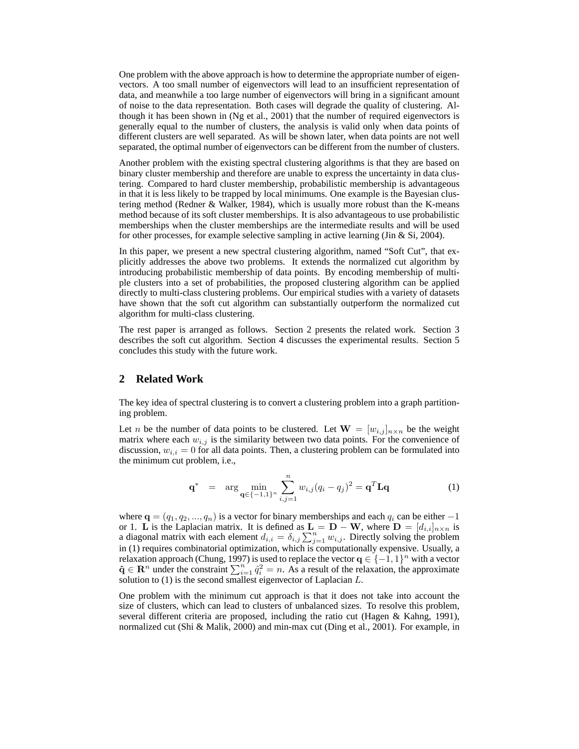One problem with the above approach is how to determine the appropriate number of eigenvectors. A too small number of eigenvectors will lead to an insufficient representation of data, and meanwhile a too large number of eigenvectors will bring in a significant amount of noise to the data representation. Both cases will degrade the quality of clustering. Although it has been shown in (Ng et al., 2001) that the number of required eigenvectors is generally equal to the number of clusters, the analysis is valid only when data points of different clusters are well separated. As will be shown later, when data points are not well separated, the optimal number of eigenvectors can be different from the number of clusters.

Another problem with the existing spectral clustering algorithms is that they are based on binary cluster membership and therefore are unable to express the uncertainty in data clustering. Compared to hard cluster membership, probabilistic membership is advantageous in that it is less likely to be trapped by local minimums. One example is the Bayesian clustering method (Redner & Walker, 1984), which is usually more robust than the K-means method because of its soft cluster memberships. It is also advantageous to use probabilistic memberships when the cluster memberships are the intermediate results and will be used for other processes, for example selective sampling in active learning (Jin & Si, 2004).

In this paper, we present a new spectral clustering algorithm, named "Soft Cut", that explicitly addresses the above two problems. It extends the normalized cut algorithm by introducing probabilistic membership of data points. By encoding membership of multiple clusters into a set of probabilities, the proposed clustering algorithm can be applied directly to multi-class clustering problems. Our empirical studies with a variety of datasets have shown that the soft cut algorithm can substantially outperform the normalized cut algorithm for multi-class clustering.

The rest paper is arranged as follows. Section 2 presents the related work. Section 3 describes the soft cut algorithm. Section 4 discusses the experimental results. Section 5 concludes this study with the future work.

# **2 Related Work**

The key idea of spectral clustering is to convert a clustering problem into a graph partitioning problem.

Let *n* be the number of data points to be clustered. Let  $\mathbf{W} = [w_{i,j}]_{n \times n}$  be the weight matrix where each  $w_{i,j}$  is the similarity between two data points. For the convenience of discussion,  $w_{i,i} = 0$  for all data points. Then, a clustering problem can be formulated into the minimum cut problem, i.e.,

$$
\mathbf{q}^* = \arg \min_{\mathbf{q} \in \{-1,1\}^n} \sum_{i,j=1}^n w_{i,j} (q_i - q_j)^2 = \mathbf{q}^T \mathbf{L} \mathbf{q}
$$
 (1)

where  $\mathbf{q} = (q_1, q_2, ..., q_n)$  is a vector for binary memberships and each  $q_i$  can be either  $-1$ or 1. L is the Laplacian matrix. It is defined as  $L = D - W$ , where  $D = [d_{i,i}]_{n \times n}$  is a diagonal matrix with each element  $d_{i,i} = \delta_{i,j} \sum_{j=1}^{n} w_{i,j}$ . Directly solving the problem in (1) requires combinatorial optimization, which is computationally expensive. Usually, a relaxation approach (Chung, 1997) is used to replace the vector  $\mathbf{q} \in \{-1,1\}^n$  with a vector  $\hat{\mathbf{q}} \in \mathbf{R}^n$  under the constraint  $\sum_{i=1}^n \hat{q}_i^2 = n$ . As a result of the relaxation, the approximate solution to  $(1)$  is the second smallest eigenvector of Laplacian  $L$ .

One problem with the minimum cut approach is that it does not take into account the size of clusters, which can lead to clusters of unbalanced sizes. To resolve this problem, several different criteria are proposed, including the ratio cut (Hagen & Kahng, 1991), normalized cut (Shi & Malik, 2000) and min-max cut (Ding et al., 2001). For example, in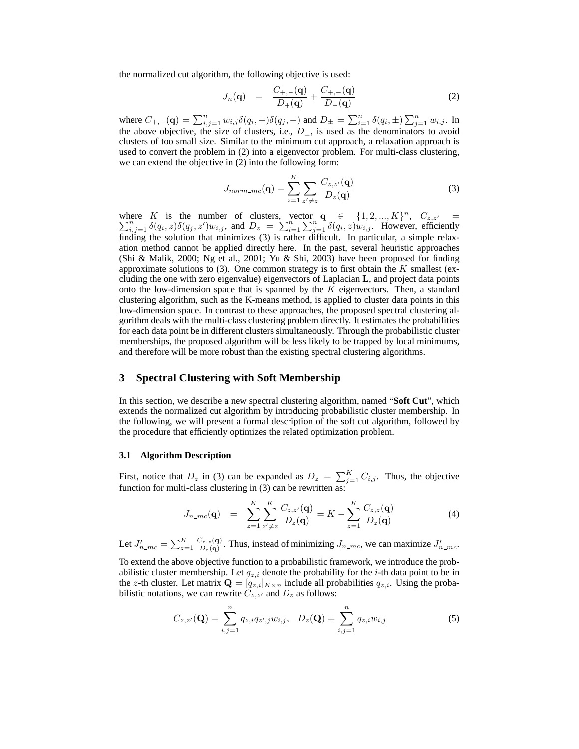the normalized cut algorithm, the following objective is used:

$$
J_n(\mathbf{q}) = \frac{C_{+,-}(\mathbf{q})}{D_+(\mathbf{q})} + \frac{C_{+,-}(\mathbf{q})}{D_-(\mathbf{q})}
$$
(2)

where  $C_{+,-}(\mathbf{q}) = \sum_{i,j=1}^n w_{i,j} \delta(q_i,+) \delta(q_j,-)$  and  $D_{\pm} = \sum_{i=1}^n \delta(q_i,\pm) \sum_{j=1}^n w_{i,j}$ . In the above objective, the size of clusters, i.e.,  $D_{+}$ , is used as the denominators to avoid clusters of too small size. Similar to the minimum cut approach, a relaxation approach is used to convert the problem in (2) into a eigenvector problem. For multi-class clustering, we can extend the objective in (2) into the following form:

$$
J_{norm\_mc}(\mathbf{q}) = \sum_{z=1}^{K} \sum_{z' \neq z} \frac{C_{z,z'}(\mathbf{q})}{D_z(\mathbf{q})}
$$
(3)

where K is the number of clusters, vector  $\mathbf{q} \in \{1, 2, ..., K\}^n$ ,  $C_{z,z'} = \sum_{i,j=1}^n \delta(q_i, z) \delta(q_j, z') w_{i,j}$ , and  $D_z = \sum_{i=1}^n \sum_{j=1}^n \delta(q_i, z) w_{i,j}$ . However, efficiently finding the solution that minimizes (3) is rather difficult. In particular, a simple relaxation method cannot be applied directly here. In the past, several heuristic approaches (Shi & Malik, 2000; Ng et al., 2001; Yu & Shi, 2003) have been proposed for finding approximate solutions to  $(3)$ . One common strategy is to first obtain the K smallest (excluding the one with zero eigenvalue) eigenvectors of Laplacian L, and project data points onto the low-dimension space that is spanned by the  $K$  eigenvectors. Then, a standard clustering algorithm, such as the K-means method, is applied to cluster data points in this low-dimension space. In contrast to these approaches, the proposed spectral clustering algorithm deals with the multi-class clustering problem directly. It estimates the probabilities for each data point be in different clusters simultaneously. Through the probabilistic cluster memberships, the proposed algorithm will be less likely to be trapped by local minimums, and therefore will be more robust than the existing spectral clustering algorithms.

# **3 Spectral Clustering with Soft Membership**

In this section, we describe a new spectral clustering algorithm, named "**Soft Cut**", which extends the normalized cut algorithm by introducing probabilistic cluster membership. In the following, we will present a formal description of the soft cut algorithm, followed by the procedure that efficiently optimizes the related optimization problem.

#### **3.1 Algorithm Description**

First, notice that  $D_z$  in (3) can be expanded as  $D_z = \sum_{j=1}^{K} C_{i,j}$ . Thus, the objective function for multi-class clustering in (3) can be rewritten as:

$$
J_{n_{\text{unc}}}(\mathbf{q}) = \sum_{z=1}^{K} \sum_{z' \neq z}^{K} \frac{C_{z,z'}(\mathbf{q})}{D_z(\mathbf{q})} = K - \sum_{z=1}^{K} \frac{C_{z,z}(\mathbf{q})}{D_z(\mathbf{q})}
$$
(4)

Let  $J'_{n=mc} = \sum_{z=1}^{K} \frac{C_{z,z}(\mathbf{q})}{D_z(\mathbf{q})}$  $\frac{U_{z,z}(\mathbf{q})}{D_z(\mathbf{q})}$ . Thus, instead of minimizing  $J_{n\_mc}$ , we can maximize  $J'_{n\_mc}$ .

To extend the above objective function to a probabilistic framework, we introduce the probabilistic cluster membership. Let  $q_{z,i}$  denote the probability for the *i*-th data point to be in the z-th cluster. Let matrix  $\mathbf{Q} = [q_{z,i}]_{K \times n}$  include all probabilities  $q_{z,i}$ . Using the probabilistic notations, we can rewrite  $C_{z,z'}$  and  $D_z$  as follows:

$$
C_{z,z'}(\mathbf{Q}) = \sum_{i,j=1}^{n} q_{z,i} q_{z',j} w_{i,j}, \quad D_z(\mathbf{Q}) = \sum_{i,j=1}^{n} q_{z,i} w_{i,j}
$$
(5)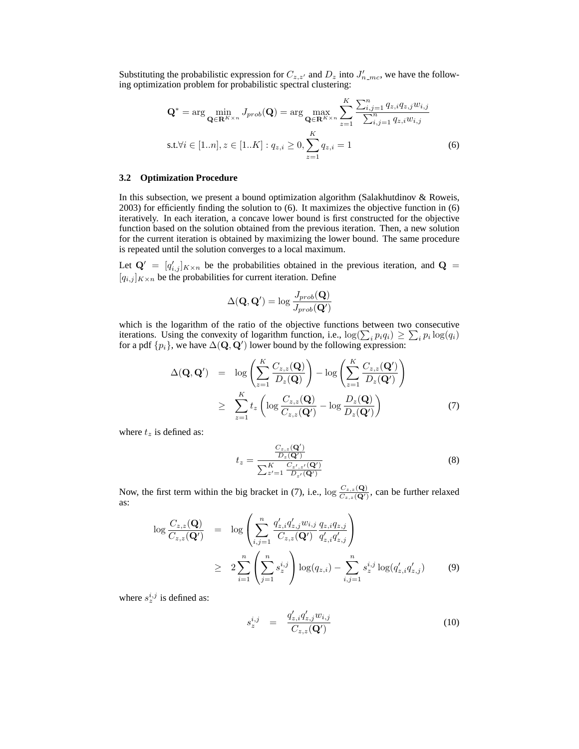Substituting the probabilistic expression for  $C_{z,z'}$  and  $D_z$  into  $J'_{n,mc}$ , we have the following optimization problem for probabilistic spectral clustering:

$$
\mathbf{Q}^* = \arg \min_{\mathbf{Q} \in \mathbf{R}^{K \times n}} J_{prob}(\mathbf{Q}) = \arg \max_{\mathbf{Q} \in \mathbf{R}^{K \times n}} \sum_{z=1}^{K} \frac{\sum_{i,j=1}^{n} q_{z,i} q_{z,j} w_{i,j}}{\sum_{i,j=1}^{n} q_{z,i} w_{i,j}}
$$
  
s.t.  $\forall i \in [1..n], z \in [1..K]: q_{z,i} \ge 0, \sum_{z=1}^{K} q_{z,i} = 1$  (6)

#### **3.2 Optimization Procedure**

In this subsection, we present a bound optimization algorithm (Salakhutdinov & Roweis, 2003) for efficiently finding the solution to (6). It maximizes the objective function in (6) iteratively. In each iteration, a concave lower bound is first constructed for the objective function based on the solution obtained from the previous iteration. Then, a new solution for the current iteration is obtained by maximizing the lower bound. The same procedure is repeated until the solution converges to a local maximum.

Let  $\mathbf{Q}' = [q'_{i,j}]_{K \times n}$  be the probabilities obtained in the previous iteration, and  $\mathbf{Q} =$  $[q_{i,j}]_{K\times n}$  be the probabilities for current iteration. Define

$$
\Delta(\mathbf{Q},\mathbf{Q}')=\log\frac{J_{prob}(\mathbf{Q})}{J_{prob}(\mathbf{Q}')}
$$

which is the logarithm of the ratio of the objective functions between two consecutive iterations. Using the convexity of logarithm function, i.e.,  $\log(\sum_i p_i q_i) \ge \sum_i p_i \log(q_i)$ for a pdf  $\{p_i\}$ , we have  $\Delta(\mathbf{Q}, \mathbf{Q}')$  lower bound by the following expression:

$$
\Delta(\mathbf{Q}, \mathbf{Q}') = \log \left( \sum_{z=1}^{K} \frac{C_{z,z}(\mathbf{Q})}{D_z(\mathbf{Q})} \right) - \log \left( \sum_{z=1}^{K} \frac{C_{z,z}(\mathbf{Q}')}{D_z(\mathbf{Q}')} \right)
$$
  
\n
$$
\geq \sum_{z=1}^{K} t_z \left( \log \frac{C_{z,z}(\mathbf{Q})}{C_{z,z}(\mathbf{Q}')} - \log \frac{D_z(\mathbf{Q})}{D_z(\mathbf{Q}')} \right)
$$
(7)

where  $t_z$  is defined as:

$$
t_z = \frac{\frac{C_{z,z}(\mathbf{Q}')}{D_z(\mathbf{Q}')}}{\sum_{z'=1}^K \frac{C_{z',z'}(\mathbf{Q}')}{D_{z'}(\mathbf{Q}')}}\tag{8}
$$

Now, the first term within the big bracket in (7), i.e.,  $\log \frac{C_{z,z}(\mathbf{Q})}{C_{z,z}(\mathbf{Q}')}$ , can be further relaxed as:

$$
\log \frac{C_{z,z}(\mathbf{Q})}{C_{z,z}(\mathbf{Q}')} = \log \left( \sum_{i,j=1}^n \frac{q'_{z,i} q'_{z,j} w_{i,j}}{C_{z,z}(\mathbf{Q}')} \frac{q_{z,i} q_{z,j}}{q'_{z,i} q'_{z,j}} \right)
$$
\n
$$
\geq 2 \sum_{i=1}^n \left( \sum_{j=1}^n s_j^{i,j} \right) \log(q_{z,i}) - \sum_{i,j=1}^n s_z^{i,j} \log(q'_{z,i} q'_{z,j}) \tag{9}
$$

where  $s_z^{i,j}$  is defined as:

$$
s_z^{i,j} = \frac{q'_{z,i} q'_{z,j} w_{i,j}}{C_{z,z}(\mathbf{Q}')} \tag{10}
$$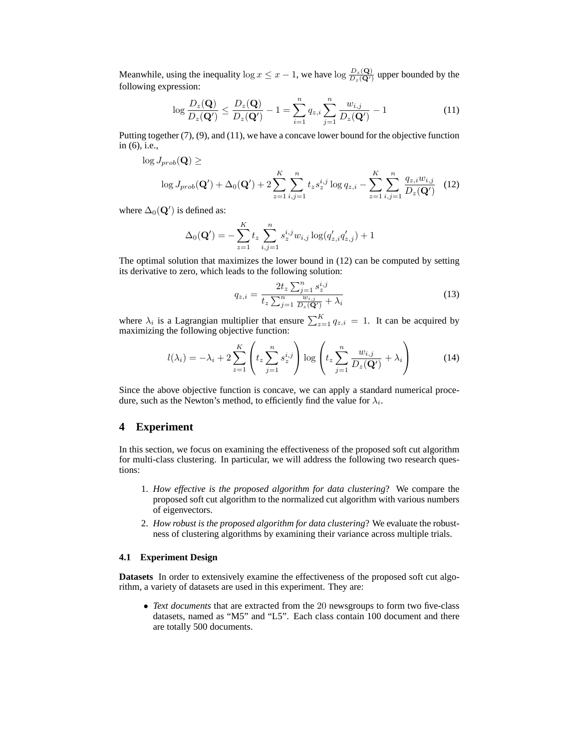Meanwhile, using the inequality  $\log x \leq x - 1$ , we have  $\log \frac{D_z(Q)}{D_z(Q')}$  upper bounded by the following expression:

$$
\log \frac{D_z(\mathbf{Q})}{D_z(\mathbf{Q}')} \le \frac{D_z(\mathbf{Q})}{D_z(\mathbf{Q}')} - 1 = \sum_{i=1}^n q_{z,i} \sum_{j=1}^n \frac{w_{i,j}}{D_z(\mathbf{Q}')} - 1
$$
 (11)

Putting together (7), (9), and (11), we have a concave lower bound for the objective function in (6), i.e.,

$$
\log J_{prob}(\mathbf{Q}) \ge \q \log J_{prob}(\mathbf{Q}') + \Delta_0(\mathbf{Q}') + 2\sum_{z=1}^{K} \sum_{i,j=1}^{n} t_z s_z^{i,j} \log q_{z,i} - \sum_{z=1}^{K} \sum_{i,j=1}^{n} \frac{q_{z,i}w_{i,j}}{D_z(\mathbf{Q}')} \tag{12}
$$

where  $\Delta_0(\mathbf{Q}')$  is defined as:

$$
\Delta_0(\mathbf{Q}') = -\sum_{z=1}^K t_z \sum_{i,j=1}^n s_z^{i,j} w_{i,j} \log(q'_{z,i} q'_{z,j}) + 1
$$

The optimal solution that maximizes the lower bound in (12) can be computed by setting its derivative to zero, which leads to the following solution:

$$
q_{z,i} = \frac{2t_z \sum_{j=1}^n s_z^{i,j}}{t_z \sum_{j=1}^n \frac{w_{i,j}}{D_z(\mathbf{Q}')} + \lambda_i}
$$
(13)

where  $\lambda_i$  is a Lagrangian multiplier that ensure  $\sum_{z=1}^{K} q_{z,i} = 1$ . It can be acquired by maximizing the following objective function:

$$
l(\lambda_i) = -\lambda_i + 2\sum_{z=1}^K \left( t_z \sum_{j=1}^n s_z^{i,j} \right) \log \left( t_z \sum_{j=1}^n \frac{w_{i,j}}{D_z(\mathbf{Q}')} + \lambda_i \right) \tag{14}
$$

Since the above objective function is concave, we can apply a standard numerical procedure, such as the Newton's method, to efficiently find the value for  $\lambda_i$ .

# **4 Experiment**

In this section, we focus on examining the effectiveness of the proposed soft cut algorithm for multi-class clustering. In particular, we will address the following two research questions:

- 1. *How effective is the proposed algorithm for data clustering*? We compare the proposed soft cut algorithm to the normalized cut algorithm with various numbers of eigenvectors.
- 2. *How robust is the proposed algorithm for data clustering*? We evaluate the robustness of clustering algorithms by examining their variance across multiple trials.

# **4.1 Experiment Design**

**Datasets** In order to extensively examine the effectiveness of the proposed soft cut algorithm, a variety of datasets are used in this experiment. They are:

• *Text documents* that are extracted from the 20 newsgroups to form two five-class datasets, named as "M5" and "L5". Each class contain 100 document and there are totally 500 documents.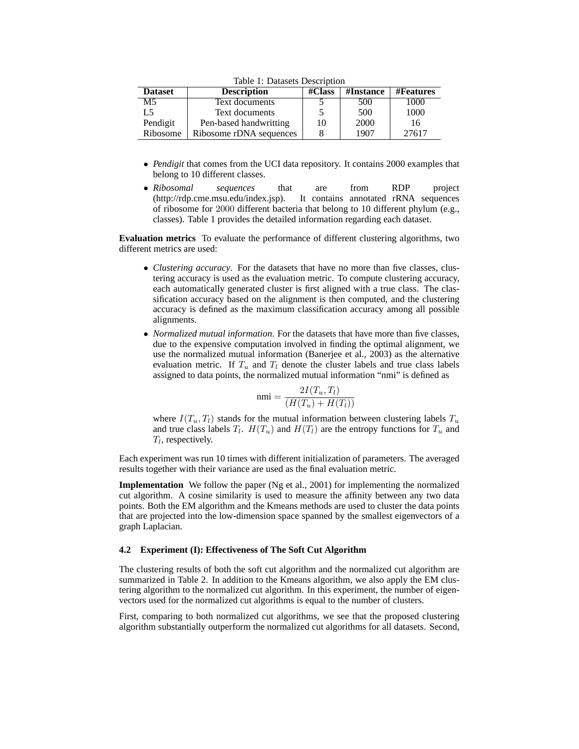| raore 1. Databets Description |                         |    |           |                  |  |  |  |  |
|-------------------------------|-------------------------|----|-----------|------------------|--|--|--|--|
| <b>Dataset</b>                | <b>Description</b>      |    | #Instance | <b>#Features</b> |  |  |  |  |
| M5                            | Text documents          |    | 500       | 1000             |  |  |  |  |
| L5                            | Text documents          |    | 500       | 1000             |  |  |  |  |
| Pendigit                      | Pen-based handwritting  | 10 | 2000      | 16               |  |  |  |  |
| Ribosome                      | Ribosome rDNA sequences |    | 1907      | 27617            |  |  |  |  |

Table 1: Datasets Description

- *Pendigit* that comes from the UCI data repository. It contains 2000 examples that belong to 10 different classes.
- *Ribosomal sequences* that are from RDP project (http://rdp.cme.msu.edu/index.jsp). It contains annotated rRNA sequences of ribosome for 2000 different bacteria that belong to 10 different phylum (e.g., classes). Table 1 provides the detailed information regarding each dataset.

**Evaluation metrics** To evaluate the performance of different clustering algorithms, two different metrics are used:

- *Clustering accuracy*. For the datasets that have no more than five classes, clustering accuracy is used as the evaluation metric. To compute clustering accuracy, each automatically generated cluster is first aligned with a true class. The classification accuracy based on the alignment is then computed, and the clustering accuracy is defined as the maximum classification accuracy among all possible alignments.
- *Normalized mutual information*. For the datasets that have more than five classes, due to the expensive computation involved in finding the optimal alignment, we use the normalized mutual information (Banerjee et al., 2003) as the alternative evaluation metric. If  $T_u$  and  $T_l$  denote the cluster labels and true class labels assigned to data points, the normalized mutual information "nmi" is defined as

$$
\text{nmi} = \frac{2I(T_u, T_l)}{(H(T_u) + H(T_l))}
$$

where  $I(T_u, T_l)$  stands for the mutual information between clustering labels  $T_u$ and true class labels  $T_l$ .  $H(T_u)$  and  $H(T_l)$  are the entropy functions for  $T_u$  and  $T_l$ , respectively.

Each experiment was run 10 times with different initialization of parameters. The averaged results together with their variance are used as the final evaluation metric.

**Implementation** We follow the paper (Ng et al., 2001) for implementing the normalized cut algorithm. A cosine similarity is used to measure the affinity between any two data points. Both the EM algorithm and the Kmeans methods are used to cluster the data points that are projected into the low-dimension space spanned by the smallest eigenvectors of a graph Laplacian.

#### **4.2 Experiment (I): Effectiveness of The Soft Cut Algorithm**

The clustering results of both the soft cut algorithm and the normalized cut algorithm are summarized in Table 2. In addition to the Kmeans algorithm, we also apply the EM clustering algorithm to the normalized cut algorithm. In this experiment, the number of eigenvectors used for the normalized cut algorithms is equal to the number of clusters.

First, comparing to both normalized cut algorithms, we see that the proposed clustering algorithm substantially outperform the normalized cut algorithms for all datasets. Second,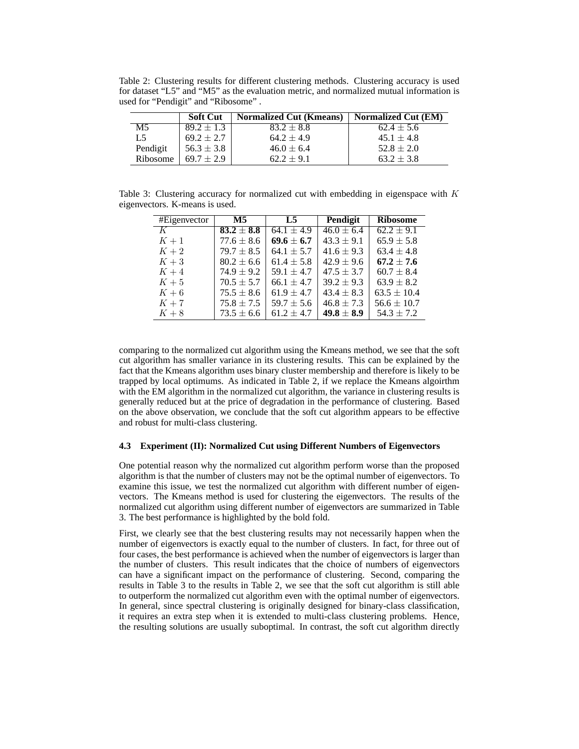Table 2: Clustering results for different clustering methods. Clustering accuracy is used for dataset "L5" and "M5" as the evaluation metric, and normalized mutual information is used for "Pendigit" and "Ribosome" .

|                | <b>Soft Cut</b> | <b>Normalized Cut (Kmeans)</b> | <b>Normalized Cut (EM)</b> |
|----------------|-----------------|--------------------------------|----------------------------|
| M <sub>5</sub> | $89.2 \pm 1.3$  | $83.2 \pm 8.8$                 | $62.4 \pm 5.6$             |
| L5             | $69.2 \pm 2.7$  | $64.2 \pm 4.9$                 | $45.1 \pm 4.8$             |
| Pendigit       | $56.3 \pm 3.8$  | $46.0 \pm 6.4$                 | $52.8 \pm 2.0$             |
| Ribosome       | $69.7 \pm 2.9$  | $62.2 \pm 9.1$                 | $63.2 \pm 3.8$             |

Table 3: Clustering accuracy for normalized cut with embedding in eigenspace with  $K$ eigenvectors. K-means is used.

| #Eigenvector | M5             | L5             | Pendigit       | <b>Ribosome</b> |
|--------------|----------------|----------------|----------------|-----------------|
| K            | $83.2 \pm 8.8$ | $64.1 \pm 4.9$ | $46.0 + 6.4$   | $62.2 + 9.1$    |
| $K+1$        | $77.6 \pm 8.6$ | $69.6 \pm 6.7$ | $43.3 \pm 9.1$ | $65.9 \pm 5.8$  |
| $K+2$        | $79.7 \pm 8.5$ | $64.1 \pm 5.7$ | $41.6 \pm 9.3$ | $63.4 \pm 4.8$  |
| $K+3$        | $80.2 \pm 6.6$ | $61.4 \pm 5.8$ | $42.9 \pm 9.6$ | $67.2 \pm 7.6$  |
| $K+4$        | $74.9 \pm 9.2$ | $59.1 + 4.7$   | $47.5 \pm 3.7$ | $60.7 \pm 8.4$  |
| $K+5$        | $70.5 + 5.7$   | $66.1 + 4.7$   | $39.2 \pm 9.3$ | $63.9 \pm 8.2$  |
| $K+6$        | $75.5 \pm 8.6$ | $61.9 \pm 4.7$ | $43.4 \pm 8.3$ | $63.5 \pm 10.4$ |
| $K+7$        | $75.8 \pm 7.5$ | $59.7 \pm 5.6$ | $46.8 \pm 7.3$ | $56.6 \pm 10.7$ |
| $K+8$        | $73.5 \pm 6.6$ | $61.2 + 4.7$   | $49.8 \pm 8.9$ | $54.3 \pm 7.2$  |

comparing to the normalized cut algorithm using the Kmeans method, we see that the soft cut algorithm has smaller variance in its clustering results. This can be explained by the fact that the Kmeans algorithm uses binary cluster membership and therefore is likely to be trapped by local optimums. As indicated in Table 2, if we replace the Kmeans algoirthm with the EM algorithm in the normalized cut algorithm, the variance in clustering results is generally reduced but at the price of degradation in the performance of clustering. Based on the above observation, we conclude that the soft cut algorithm appears to be effective and robust for multi-class clustering.

#### **4.3 Experiment (II): Normalized Cut using Different Numbers of Eigenvectors**

One potential reason why the normalized cut algorithm perform worse than the proposed algorithm is that the number of clusters may not be the optimal number of eigenvectors. To examine this issue, we test the normalized cut algorithm with different number of eigenvectors. The Kmeans method is used for clustering the eigenvectors. The results of the normalized cut algorithm using different number of eigenvectors are summarized in Table 3. The best performance is highlighted by the bold fold.

First, we clearly see that the best clustering results may not necessarily happen when the number of eigenvectors is exactly equal to the number of clusters. In fact, for three out of four cases, the best performance is achieved when the number of eigenvectors is larger than the number of clusters. This result indicates that the choice of numbers of eigenvectors can have a significant impact on the performance of clustering. Second, comparing the results in Table 3 to the results in Table 2, we see that the soft cut algorithm is still able to outperform the normalized cut algorithm even with the optimal number of eigenvectors. In general, since spectral clustering is originally designed for binary-class classification, it requires an extra step when it is extended to multi-class clustering problems. Hence, the resulting solutions are usually suboptimal. In contrast, the soft cut algorithm directly